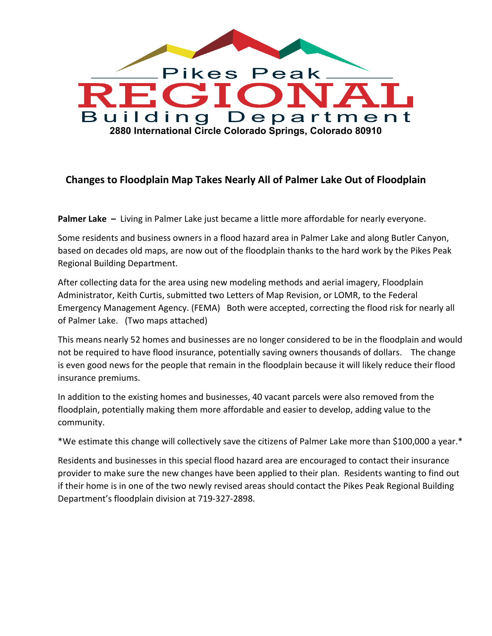

## **Changes to Floodplain Map Takes Nearly All of Palmer Lake Out of Floodplain**

**Palmer Lake –** Living in Palmer Lake just became a little more affordable for nearly everyone.

Some residents and business owners in a flood hazard area in Palmer Lake and along Butler Canyon, based on decades old maps, are now out of the floodplain thanks to the hard work by the Pikes Peak Regional Building Department.

After collecting data for the area using new modeling methods and aerial imagery, Floodplain Administrator, Keith Curtis, submitted two Letters of Map Revision, or LOMR, to the Federal Emergency Management Agency. (FEMA) Both were accepted, correcting the flood risk for nearly all of Palmer Lake. (Two maps attached)

This means nearly 52 homes and businesses are no longer considered to be in the floodplain and would not be required to have flood insurance, potentially saving owners thousands of dollars. The change is even good news for the people that remain in the floodplain because it will likely reduce their flood insurance premiums.

In addition to the existing homes and businesses, 40 vacant parcels were also removed from the floodplain, potentially making them more affordable and easier to develop, adding value to the community.

\*We estimate this change will collectively save the citizens of Palmer Lake more than \$100,000 a year.\*

Residents and businesses in this special flood hazard area are encouraged to contact their insurance provider to make sure the new changes have been applied to their plan. Residents wanting to find out if their home is in one of the two newly revised areas should contact the Pikes Peak Regional Building Department's floodplain division at 719-327-2898.